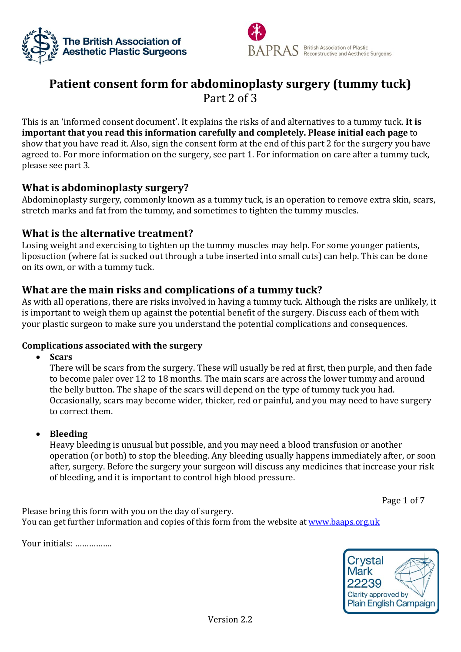



# **Patient consent form for abdominoplasty surgery (tummy tuck)** Part 2 of 3

This is an 'informed consent document'. It explains the risks of and alternatives to a tummy tuck. **It is important that you read this information carefully and completely. Please initial each page** to show that you have read it. Also, sign the consent form at the end of this part 2 for the surgery you have agreed to. For more information on the surgery, see part 1. For information on care after a tummy tuck, please see part 3.

# **What is abdominoplasty surgery?**

Abdominoplasty surgery, commonly known as a tummy tuck, is an operation to remove extra skin, scars, stretch marks and fat from the tummy, and sometimes to tighten the tummy muscles.

# **What is the alternative treatment?**

Losing weight and exercising to tighten up the tummy muscles may help. For some younger patients, liposuction (where fat is sucked out through a tube inserted into small cuts) can help. This can be done on its own, or with a tummy tuck.

# **What are the main risks and complications of a tummy tuck?**

As with all operations, there are risks involved in having a tummy tuck. Although the risks are unlikely, it is important to weigh them up against the potential benefit of the surgery. Discuss each of them with your plastic surgeon to make sure you understand the potential complications and consequences.

## **Complications associated with the surgery**

**Scars**

There will be scars from the surgery. These will usually be red at first, then purple, and then fade to become paler over 12 to 18 months. The main scars are across the lower tummy and around the belly button. The shape of the scars will depend on the type of tummy tuck you had. Occasionally, scars may become wider, thicker, red or painful, and you may need to have surgery to correct them.

## **Bleeding**

Heavy bleeding is unusual but possible, and you may need a blood transfusion or another operation (or both) to stop the bleeding. Any bleeding usually happens immediately after, or soon after, surgery. Before the surgery your surgeon will discuss any medicines that increase your risk of bleeding, and it is important to control high blood pressure.

Page 1 of 7

Please bring this form with you on the day of surgery. You can get further information and copies of this form from the website at [www.baaps.org.uk](http://www.baaps.org.uk/)

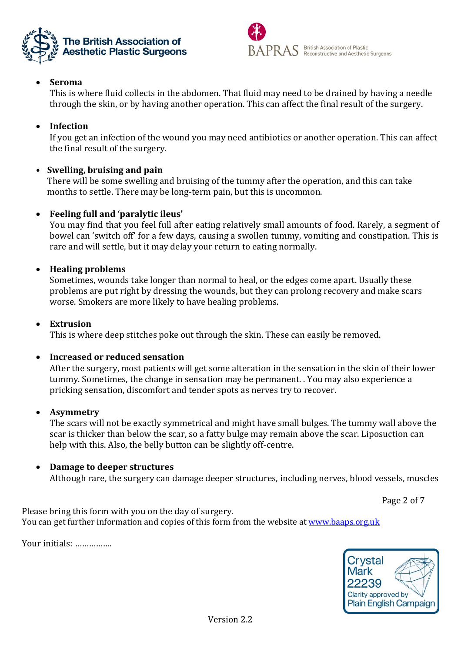



# **Seroma**

This is where fluid collects in the abdomen. That fluid may need to be drained by having a needle through the skin, or by having another operation. This can affect the final result of the surgery.

# **Infection**

If you get an infection of the wound you may need antibiotics or another operation. This can affect the final result of the surgery.

# **• Swelling, bruising and pain**

There will be some swelling and bruising of the tummy after the operation, and this can take months to settle. There may be long-term pain, but this is uncommon.

# **Feeling full and 'paralytic ileus'**

You may find that you feel full after eating relatively small amounts of food. Rarely, a segment of bowel can 'switch off' for a few days, causing a swollen tummy, vomiting and constipation. This is rare and will settle, but it may delay your return to eating normally.

# **Healing problems**

Sometimes, wounds take longer than normal to heal, or the edges come apart. Usually these problems are put right by dressing the wounds, but they can prolong recovery and make scars worse. Smokers are more likely to have healing problems.

# **Extrusion**

This is where deep stitches poke out through the skin. These can easily be removed.

## **Increased or reduced sensation**

After the surgery, most patients will get some alteration in the sensation in the skin of their lower tummy. Sometimes, the change in sensation may be permanent. . You may also experience a pricking sensation, discomfort and tender spots as nerves try to recover.

## **Asymmetry**

The scars will not be exactly symmetrical and might have small bulges. The tummy wall above the scar is thicker than below the scar, so a fatty bulge may remain above the scar. Liposuction can help with this. Also, the belly button can be slightly off-centre.

## **Damage to deeper structures**

Although rare, the surgery can damage deeper structures, including nerves, blood vessels, muscles

Page 2 of 7

Please bring this form with you on the day of surgery. You can get further information and copies of this form from the website at [www.baaps.org.uk](http://www.baaps.org.uk/)

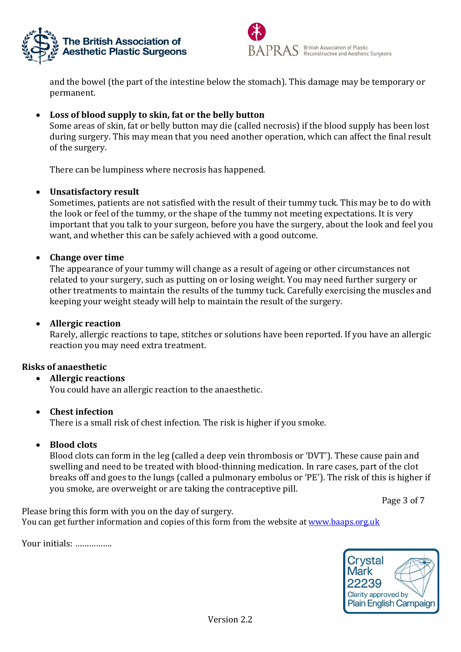



and the bowel (the part of the intestine below the stomach). This damage may be temporary or permanent.

# **Loss of blood supply to skin, fat or the belly button**

Some areas of skin, fat or belly button may die (called necrosis) if the blood supply has been lost during surgery. This may mean that you need another operation, which can affect the final result of the surgery.

There can be lumpiness where necrosis has happened.

#### **Unsatisfactory result**

Sometimes, patients are not satisfied with the result of their tummy tuck. This may be to do with the look or feel of the tummy, or the shape of the tummy not meeting expectations. It is very important that you talk to your surgeon, before you have the surgery, about the look and feel you want, and whether this can be safely achieved with a good outcome.

#### **Change over time**

The appearance of your tummy will change as a result of ageing or other circumstances not related to your surgery, such as putting on or losing weight. You may need further surgery or other treatments to maintain the results of the tummy tuck. Carefully exercising the muscles and keeping your weight steady will help to maintain the result of the surgery.

#### **Allergic reaction**

Rarely, allergic reactions to tape, stitches or solutions have been reported. If you have an allergic reaction you may need extra treatment.

#### **Risks of anaesthetic**

## **Allergic reactions**

You could have an allergic reaction to the anaesthetic.

#### **Chest infection**

There is a small risk of chest infection. The risk is higher if you smoke.

## **Blood clots**

Blood clots can form in the leg (called a deep vein thrombosis or 'DVT'). These cause pain and swelling and need to be treated with blood-thinning medication. In rare cases, part of the clot breaks off and goes to the lungs (called a pulmonary embolus or 'PE'). The risk of this is higher if you smoke, are overweight or are taking the contraceptive pill.

Page 3 of 7

Please bring this form with you on the day of surgery. You can get further information and copies of this form from the website at [www.baaps.org.uk](http://www.baaps.org.uk/)

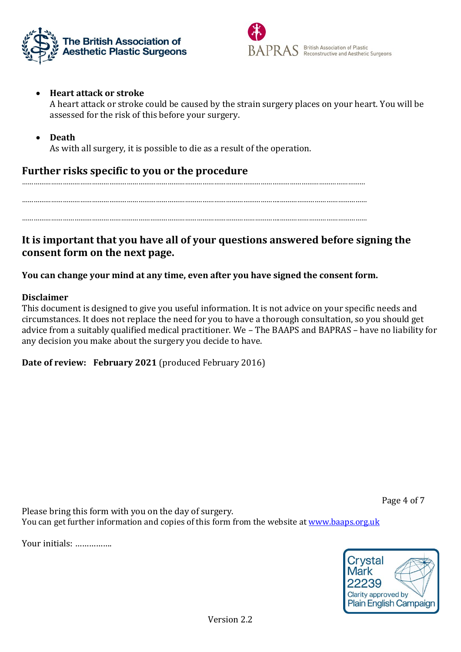



# **Heart attack or stroke**

A heart attack or stroke could be caused by the strain surgery places on your heart. You will be assessed for the risk of this before your surgery.

**Death**

As with all surgery, it is possible to die as a result of the operation.

# **Further risks specific to you or the procedure**

……………………………………………………………………………………………………………………………………………………………

…………………………………………………………………………………………………………………….………………………………………

…………………………………………………………………………………………………………………….………………………………………

# **It is important that you have all of your questions answered before signing the consent form on the next page.**

**You can change your mind at any time, even after you have signed the consent form.** 

## **Disclaimer**

This document is designed to give you useful information. It is not advice on your specific needs and circumstances. It does not replace the need for you to have a thorough consultation, so you should get advice from a suitably qualified medical practitioner. We – The BAAPS and BAPRAS – have no liability for any decision you make about the surgery you decide to have.

**Date of review: February 2021** (produced February 2016)

Page 4 of 7

Please bring this form with you on the day of surgery. You can get further information and copies of this form from the website at [www.baaps.org.uk](http://www.baaps.org.uk/)

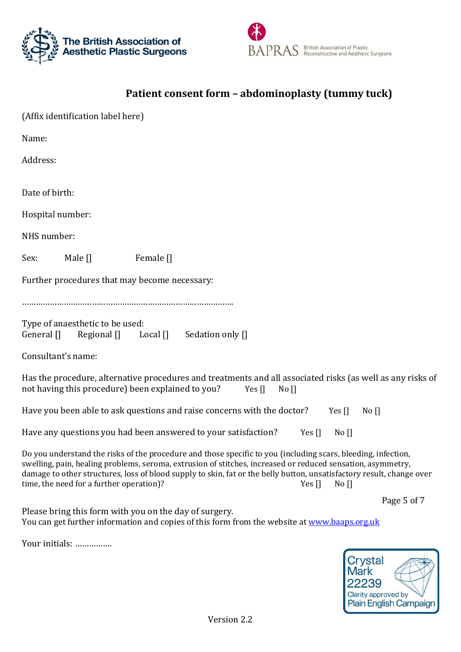



# **Patient consent form – abdominoplasty (tummy tuck)**

| (Affix identification label here)                                                                                                                                                                                                                                                                                                                                                                                                                                                                                                                                                                                                                                                                                                                                                                                                                                                                                                              |
|------------------------------------------------------------------------------------------------------------------------------------------------------------------------------------------------------------------------------------------------------------------------------------------------------------------------------------------------------------------------------------------------------------------------------------------------------------------------------------------------------------------------------------------------------------------------------------------------------------------------------------------------------------------------------------------------------------------------------------------------------------------------------------------------------------------------------------------------------------------------------------------------------------------------------------------------|
| Name:                                                                                                                                                                                                                                                                                                                                                                                                                                                                                                                                                                                                                                                                                                                                                                                                                                                                                                                                          |
| Address:                                                                                                                                                                                                                                                                                                                                                                                                                                                                                                                                                                                                                                                                                                                                                                                                                                                                                                                                       |
| Date of birth:                                                                                                                                                                                                                                                                                                                                                                                                                                                                                                                                                                                                                                                                                                                                                                                                                                                                                                                                 |
| Hospital number:                                                                                                                                                                                                                                                                                                                                                                                                                                                                                                                                                                                                                                                                                                                                                                                                                                                                                                                               |
| NHS number:                                                                                                                                                                                                                                                                                                                                                                                                                                                                                                                                                                                                                                                                                                                                                                                                                                                                                                                                    |
| Male []<br>Female <sup>[]</sup><br>Sex:                                                                                                                                                                                                                                                                                                                                                                                                                                                                                                                                                                                                                                                                                                                                                                                                                                                                                                        |
| Further procedures that may become necessary:                                                                                                                                                                                                                                                                                                                                                                                                                                                                                                                                                                                                                                                                                                                                                                                                                                                                                                  |
| Type of anaesthetic to be used:<br>General []<br>Regional $\prod$<br>Local $\prod$<br>Sedation only []<br>Consultant's name:<br>Has the procedure, alternative procedures and treatments and all associated risks (as well as any risks of<br>not having this procedure) been explained to you?<br>Yes $\prod$<br>No<br>Have you been able to ask questions and raise concerns with the doctor?<br>Yes $\prod$<br>No<br>Have any questions you had been answered to your satisfaction?<br>Yes $\prod$<br>No<br>Do you understand the risks of the procedure and those specific to you (including scars, bleeding, infection,<br>swelling, pain, healing problems, seroma, extrusion of stitches, increased or reduced sensation, asymmetry,<br>damage to other structures, loss of blood supply to skin, fat or the belly button, unsatisfactory result, change over<br>time, the need for a further operation)?<br>Yes $\prod$<br>$No$ $\Box$ |
| Page 5 of 7                                                                                                                                                                                                                                                                                                                                                                                                                                                                                                                                                                                                                                                                                                                                                                                                                                                                                                                                    |

Please bring this form with you on the day of surgery. You can get further information and copies of this form from the website at [www.baaps.org.uk](http://www.baaps.org.uk/)

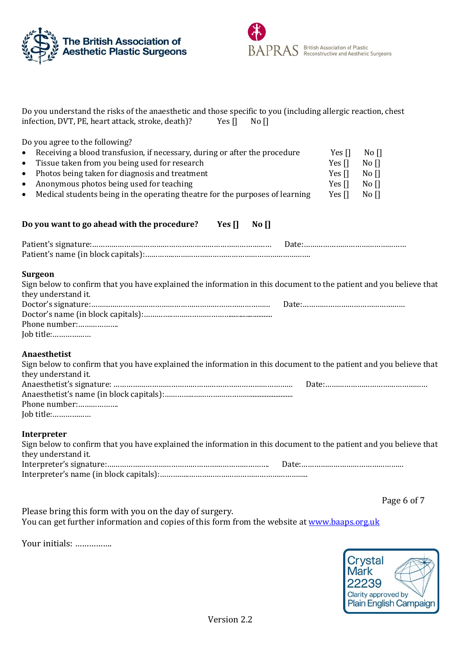



| Do you understand the risks of the anaesthetic and those specific to you (including allergic reaction, chest |        |          |
|--------------------------------------------------------------------------------------------------------------|--------|----------|
| infection, DVT, PE, heart attack, stroke, death)?                                                            | Yes II | No $\Pi$ |
| Do you agree to the following?                                                                               |        |          |

| $\bullet$ | Receiving a blood transfusion, if necessary, during or after the procedure   | Yes II           | $N$ o $\Pi$ |
|-----------|------------------------------------------------------------------------------|------------------|-------------|
| $\bullet$ | Tissue taken from you being used for research                                | Yes <sub>I</sub> | $N$ o $\Pi$ |
|           | • Photos being taken for diagnosis and treatment                             | Yes <sub>I</sub> | $N$ o $\Pi$ |
| $\bullet$ | Anonymous photos being used for teaching                                     | Yes II           | $N$ o $\Pi$ |
| $\bullet$ | Medical students being in the operating theatre for the purposes of learning | Yes $\Pi$        | $No$ $\Box$ |

#### **Do you want to go ahead with the procedure? Yes [] No []**

#### **Surgeon**

| Sign below to confirm that you have explained the information in this document to the patient and you believe that |
|--------------------------------------------------------------------------------------------------------------------|
|                                                                                                                    |
|                                                                                                                    |
|                                                                                                                    |
|                                                                                                                    |
|                                                                                                                    |
|                                                                                                                    |

#### **Anaesthetist**

| Sign below to confirm that you have explained the information in this document to the patient and you believe that |  |
|--------------------------------------------------------------------------------------------------------------------|--|
| they understand it.                                                                                                |  |
|                                                                                                                    |  |
|                                                                                                                    |  |
| Phone number:                                                                                                      |  |
| Job title:                                                                                                         |  |

#### **Interpreter**

| Sign below to confirm that you have explained the information in this document to the patient and you believe that |  |
|--------------------------------------------------------------------------------------------------------------------|--|
| they understand it.                                                                                                |  |
|                                                                                                                    |  |
|                                                                                                                    |  |

Page 6 of 7

Please bring this form with you on the day of surgery. You can get further information and copies of this form from the website at [www.baaps.org.uk](http://www.baaps.org.uk/)